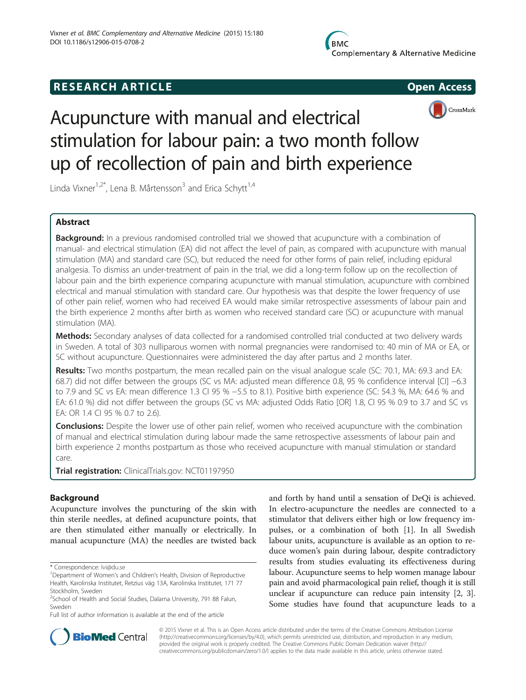# **RESEARCH ARTICLE Example 2014 12:30 The SEAR CHA RTICLE**



# Acupuncture with manual and electrical stimulation for labour pain: a two month follow up of recollection of pain and birth experience

Linda Vixner<sup>1,2\*</sup>, Lena B. Mårtensson<sup>3</sup> and Erica Schytt<sup>1,4</sup>

# Abstract

Background: In a previous randomised controlled trial we showed that acupuncture with a combination of manual- and electrical stimulation (EA) did not affect the level of pain, as compared with acupuncture with manual stimulation (MA) and standard care (SC), but reduced the need for other forms of pain relief, including epidural analgesia. To dismiss an under-treatment of pain in the trial, we did a long-term follow up on the recollection of labour pain and the birth experience comparing acupuncture with manual stimulation, acupuncture with combined electrical and manual stimulation with standard care. Our hypothesis was that despite the lower frequency of use of other pain relief, women who had received EA would make similar retrospective assessments of labour pain and the birth experience 2 months after birth as women who received standard care (SC) or acupuncture with manual stimulation (MA).

Methods: Secondary analyses of data collected for a randomised controlled trial conducted at two delivery wards in Sweden. A total of 303 nulliparous women with normal pregnancies were randomised to: 40 min of MA or EA, or SC without acupuncture. Questionnaires were administered the day after partus and 2 months later.

Results: Two months postpartum, the mean recalled pain on the visual analogue scale (SC: 70.1, MA: 69.3 and EA: 68.7) did not differ between the groups (SC vs MA: adjusted mean difference 0.8, 95 % confidence interval [CI] −6.3 to 7.9 and SC vs EA: mean difference 1.3 CI 95 % −5.5 to 8.1). Positive birth experience (SC: 54.3 %, MA: 64.6 % and EA: 61.0 %) did not differ between the groups (SC vs MA: adjusted Odds Ratio [OR] 1.8, CI 95 % 0.9 to 3.7 and SC vs EA: OR 1.4 CI 95 % 0.7 to 2.6).

**Conclusions:** Despite the lower use of other pain relief, women who received acupuncture with the combination of manual and electrical stimulation during labour made the same retrospective assessments of labour pain and birth experience 2 months postpartum as those who received acupuncture with manual stimulation or standard care.

Trial registration: ClinicalTrials.gov: [NCT01197950](https://clinicaltrials.gov/ct2/show/NCT01197950)

# Background

Acupuncture involves the puncturing of the skin with thin sterile needles, at defined acupuncture points, that are then stimulated either manually or electrically. In manual acupuncture (MA) the needles are twisted back

Full list of author information is available at the end of the article

and forth by hand until a sensation of DeQi is achieved. In electro-acupuncture the needles are connected to a stimulator that delivers either high or low frequency impulses, or a combination of both [\[1](#page-7-0)]. In all Swedish labour units, acupuncture is available as an option to reduce women's pain during labour, despite contradictory results from studies evaluating its effectiveness during labour. Acupuncture seems to help women manage labour pain and avoid pharmacological pain relief, though it is still unclear if acupuncture can reduce pain intensity [\[2, 3](#page-7-0)]. Some studies have found that acupuncture leads to a



© 2015 Vixner et al. This is an Open Access article distributed under the terms of the Creative Commons Attribution License [\(http://creativecommons.org/licenses/by/4.0\)](http://creativecommons.org/licenses/by/4.0), which permits unrestricted use, distribution, and reproduction in any medium, provided the original work is properly credited. The Creative Commons Public Domain Dedication waiver [\(http://](http://creativecommons.org/publicdomain/zero/1.0/) [creativecommons.org/publicdomain/zero/1.0/\)](http://creativecommons.org/publicdomain/zero/1.0/) applies to the data made available in this article, unless otherwise stated.

<sup>\*</sup> Correspondence: [lvi@du.se](mailto:lvi@du.se) <sup>1</sup>

<sup>&</sup>lt;sup>1</sup>Department of Women's and Children's Health, Division of Reproductive Health, Karolinska Institutet, Retzius väg 13A, Karolinska Institutet, 171 77 Stockholm, Sweden

<sup>&</sup>lt;sup>2</sup>School of Health and Social Studies, Dalarna University, 791 88 Falun, Sweden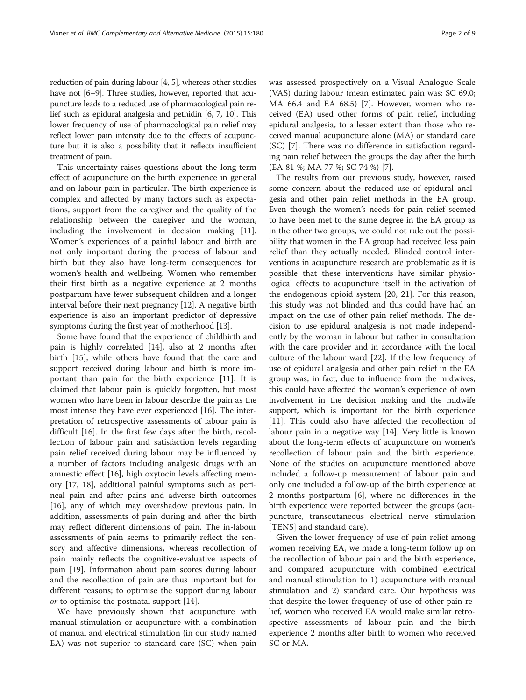reduction of pain during labour [\[4, 5\]](#page-7-0), whereas other studies have not [\[6](#page-7-0)–[9\]](#page-7-0). Three studies, however, reported that acupuncture leads to a reduced use of pharmacological pain relief such as epidural analgesia and pethidin [\[6, 7, 10\]](#page-7-0). This lower frequency of use of pharmacological pain relief may reflect lower pain intensity due to the effects of acupuncture but it is also a possibility that it reflects insufficient treatment of pain.

This uncertainty raises questions about the long-term effect of acupuncture on the birth experience in general and on labour pain in particular. The birth experience is complex and affected by many factors such as expectations, support from the caregiver and the quality of the relationship between the caregiver and the woman, including the involvement in decision making [\[11](#page-7-0)]. Women's experiences of a painful labour and birth are not only important during the process of labour and birth but they also have long-term consequences for women's health and wellbeing. Women who remember their first birth as a negative experience at 2 months postpartum have fewer subsequent children and a longer interval before their next pregnancy [\[12](#page-7-0)]. A negative birth experience is also an important predictor of depressive symptoms during the first year of motherhood [\[13\]](#page-7-0).

Some have found that the experience of childbirth and pain is highly correlated [[14\]](#page-7-0), also at 2 months after birth [[15\]](#page-8-0), while others have found that the care and support received during labour and birth is more important than pain for the birth experience [[11\]](#page-7-0). It is claimed that labour pain is quickly forgotten, but most women who have been in labour describe the pain as the most intense they have ever experienced [\[16](#page-8-0)]. The interpretation of retrospective assessments of labour pain is difficult [\[16\]](#page-8-0). In the first few days after the birth, recollection of labour pain and satisfaction levels regarding pain relief received during labour may be influenced by a number of factors including analgesic drugs with an amnestic effect [[16\]](#page-8-0), high oxytocin levels affecting memory [\[17, 18](#page-8-0)], additional painful symptoms such as perineal pain and after pains and adverse birth outcomes [[16\]](#page-8-0), any of which may overshadow previous pain. In addition, assessments of pain during and after the birth may reflect different dimensions of pain. The in-labour assessments of pain seems to primarily reflect the sensory and affective dimensions, whereas recollection of pain mainly reflects the cognitive-evaluative aspects of pain [[19\]](#page-8-0). Information about pain scores during labour and the recollection of pain are thus important but for different reasons; to optimise the support during labour or to optimise the postnatal support [[14](#page-7-0)].

We have previously shown that acupuncture with manual stimulation or acupuncture with a combination of manual and electrical stimulation (in our study named EA) was not superior to standard care (SC) when pain

was assessed prospectively on a Visual Analogue Scale (VAS) during labour (mean estimated pain was: SC 69.0; MA 66.4 and EA 68.5) [\[7](#page-7-0)]. However, women who received (EA) used other forms of pain relief, including epidural analgesia, to a lesser extent than those who received manual acupuncture alone (MA) or standard care (SC) [[7\]](#page-7-0). There was no difference in satisfaction regarding pain relief between the groups the day after the birth (EA 81 %; MA 77 %; SC 74 %) [[7\]](#page-7-0).

The results from our previous study, however, raised some concern about the reduced use of epidural analgesia and other pain relief methods in the EA group. Even though the women's needs for pain relief seemed to have been met to the same degree in the EA group as in the other two groups, we could not rule out the possibility that women in the EA group had received less pain relief than they actually needed. Blinded control interventions in acupuncture research are problematic as it is possible that these interventions have similar physiological effects to acupuncture itself in the activation of the endogenous opioid system [\[20](#page-8-0), [21](#page-8-0)]. For this reason, this study was not blinded and this could have had an impact on the use of other pain relief methods. The decision to use epidural analgesia is not made independently by the woman in labour but rather in consultation with the care provider and in accordance with the local culture of the labour ward [[22\]](#page-8-0). If the low frequency of use of epidural analgesia and other pain relief in the EA group was, in fact, due to influence from the midwives, this could have affected the woman's experience of own involvement in the decision making and the midwife support, which is important for the birth experience [[11\]](#page-7-0). This could also have affected the recollection of labour pain in a negative way [\[14](#page-7-0)]. Very little is known about the long-term effects of acupuncture on women's recollection of labour pain and the birth experience. None of the studies on acupuncture mentioned above included a follow-up measurement of labour pain and only one included a follow-up of the birth experience at 2 months postpartum [[6\]](#page-7-0), where no differences in the birth experience were reported between the groups (acupuncture, transcutaneous electrical nerve stimulation [TENS] and standard care).

Given the lower frequency of use of pain relief among women receiving EA, we made a long-term follow up on the recollection of labour pain and the birth experience, and compared acupuncture with combined electrical and manual stimulation to 1) acupuncture with manual stimulation and 2) standard care. Our hypothesis was that despite the lower frequency of use of other pain relief, women who received EA would make similar retrospective assessments of labour pain and the birth experience 2 months after birth to women who received SC or MA.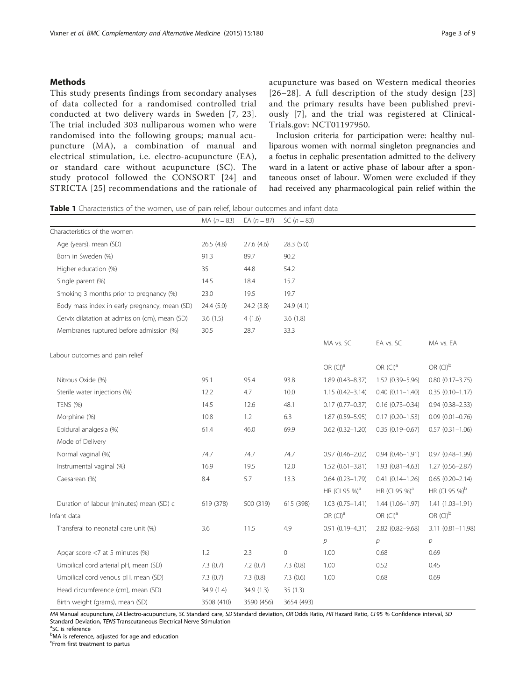# <span id="page-2-0"></span>**Methods**

This study presents findings from secondary analyses of data collected for a randomised controlled trial conducted at two delivery wards in Sweden [[7,](#page-7-0) [23\]](#page-8-0). The trial included 303 nulliparous women who were randomised into the following groups; manual acupuncture (MA), a combination of manual and electrical stimulation, i.e. electro-acupuncture (EA), or standard care without acupuncture (SC). The study protocol followed the CONSORT [[24\]](#page-8-0) and STRICTA [[25\]](#page-8-0) recommendations and the rationale of acupuncture was based on Western medical theories [[26](#page-8-0)–[28](#page-8-0)]. A full description of the study design [[23](#page-8-0)] and the primary results have been published previously [\[7\]](#page-7-0), and the trial was registered at Clinical-Trials.gov: NCT01197950.

Inclusion criteria for participation were: healthy nulliparous women with normal singleton pregnancies and a foetus in cephalic presentation admitted to the delivery ward in a latent or active phase of labour after a spontaneous onset of labour. Women were excluded if they had received any pharmacological pain relief within the

Table 1 Characteristics of the women, use of pain relief, labour outcomes and infant data

|                                                | MA $(n = 83)$ | EA $(n = 87)$ | SC $(n = 83)$ |                           |                           |                           |
|------------------------------------------------|---------------|---------------|---------------|---------------------------|---------------------------|---------------------------|
| Characteristics of the women                   |               |               |               |                           |                           |                           |
| Age (years), mean (SD)                         | 26.5(4.8)     | 27.6 (4.6)    | 28.3 (5.0)    |                           |                           |                           |
| Born in Sweden (%)                             | 91.3          | 89.7          | 90.2          |                           |                           |                           |
| Higher education (%)                           | 35            | 44.8          | 54.2          |                           |                           |                           |
| Single parent (%)                              | 14.5          | 18.4          | 15.7          |                           |                           |                           |
| Smoking 3 months prior to pregnancy (%)        | 23.0          | 19.5          | 19.7          |                           |                           |                           |
| Body mass index in early pregnancy, mean (SD)  | 24.4(5.0)     | 24.2 (3.8)    | 24.9 (4.1)    |                           |                           |                           |
| Cervix dilatation at admission (cm), mean (SD) | 3.6(1.5)      | 4(1.6)        | 3.6(1.8)      |                           |                           |                           |
| Membranes ruptured before admission (%)        | 30.5          | 28.7          | 33.3          |                           |                           |                           |
|                                                |               |               |               | MA vs. SC                 | EA vs. SC                 | MA vs. EA                 |
| Labour outcomes and pain relief                |               |               |               |                           |                           |                           |
|                                                |               |               |               | OR (Cl) <sup>a</sup>      | OR (Cl) <sup>a</sup>      | OR $(Cl)^b$               |
| Nitrous Oxide (%)                              | 95.1          | 95.4          | 93.8          | 1.89 (0.43-8.37)          | 1.52 (0.39-5.96)          | $0.80(0.17 - 3.75)$       |
| Sterile water injections (%)                   | 12.2          | 4.7           | 10.0          | $1.15(0.42 - 3.14)$       | $0.40(0.11 - 1.40)$       | $0.35(0.10 - 1.17)$       |
| <b>TENS (%)</b>                                | 14.5          | 12.6          | 48.1          | $0.17(0.77 - 0.37)$       | $0.16(0.73 - 0.34)$       | $0.94(0.38 - 2.33)$       |
| Morphine (%)                                   | 10.8          | 1.2           | 6.3           | 1.87 (0.59-5.95)          | $0.17(0.20 - 1.53)$       | $0.09(0.01 - 0.76)$       |
| Epidural analgesia (%)                         | 61.4          | 46.0          | 69.9          | $0.62(0.32 - 1.20)$       | $0.35(0.19 - 0.67)$       | $0.57(0.31 - 1.06)$       |
| Mode of Delivery                               |               |               |               |                           |                           |                           |
| Normal vaginal (%)                             | 74.7          | 74.7          | 74.7          | $0.97(0.46 - 2.02)$       | $0.94(0.46 - 1.91)$       | $0.97(0.48 - 1.99)$       |
| Instrumental vaginal (%)                       | 16.9          | 19.5          | 12.0          | $1.52(0.61 - 3.81)$       | $1.93(0.81 - 4.63)$       | $1.27(0.56 - 2.87)$       |
| Caesarean (%)                                  | 8.4           | 5.7           | 13.3          | $0.64(0.23 - 1.79)$       | $0.41(0.14 - 1.26)$       | $0.65(0.20 - 2.14)$       |
|                                                |               |               |               | HR (CI 95 %) <sup>a</sup> | HR (CI 95 %) <sup>a</sup> | HR (CI 95 %) <sup>b</sup> |
| Duration of labour (minutes) mean (SD) c       | 619 (378)     | 500 (319)     | 615 (398)     | $1.03(0.75 - 1.41)$       | 1.44 (1.06-1.97)          | $1.41(1.03 - 1.91)$       |
| Infant data                                    |               |               |               | OR (Cl) <sup>a</sup>      | OR (Cl) <sup>a</sup>      | OR $(CI)^b$               |
| Transferal to neonatal care unit (%)           | 3.6           | 11.5          | 4.9           | $0.91(0.19 - 4.31)$       | 2.82 (0.82-9.68)          | 3.11 (0.81-11.98)         |
|                                                |               |               |               | р                         | $\overline{p}$            | $\overline{p}$            |
| Apgar score <7 at 5 minutes (%)                | 1.2           | 2.3           | $\mathbf 0$   | 1.00                      | 0.68                      | 0.69                      |
| Umbilical cord arterial pH, mean (SD)          | 7.3(0.7)      | 7.2(0.7)      | 7.3(0.8)      | 1.00                      | 0.52                      | 0.45                      |
| Umbilical cord venous pH, mean (SD)            | 7.3(0.7)      | 7.3(0.8)      | 7.3(0.6)      | 1.00                      | 0.68                      | 0.69                      |
| Head circumference (cm), mean (SD)             | 34.9 (1.4)    | 34.9(1.3)     | 35(1.3)       |                           |                           |                           |
| Birth weight (grams), mean (SD)                | 3508 (410)    | 3590 (456)    | 3654 (493)    |                           |                           |                           |

MA Manual acupuncture, EA Electro-acupuncture, SC Standard care, SD Standard deviation, OR Odds Ratio, HR Hazard Ratio, CI 95 % Confidence interval, SD Standard Deviation, TENS Transcutaneous Electrical Nerve Stimulation <sup>a</sup> <sup>a</sup>SC is reference

<sup>b</sup>MA is reference, adjusted for age and education

c From first treatment to partus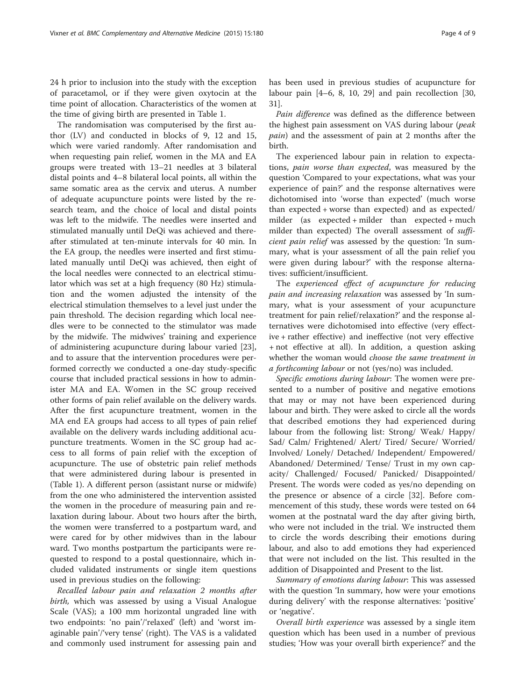24 h prior to inclusion into the study with the exception of paracetamol, or if they were given oxytocin at the time point of allocation. Characteristics of the women at the time of giving birth are presented in Table [1.](#page-2-0)

The randomisation was computerised by the first author (LV) and conducted in blocks of 9, 12 and 15, which were varied randomly. After randomisation and when requesting pain relief, women in the MA and EA groups were treated with 13–21 needles at 3 bilateral distal points and 4–8 bilateral local points, all within the same somatic area as the cervix and uterus. A number of adequate acupuncture points were listed by the research team, and the choice of local and distal points was left to the midwife. The needles were inserted and stimulated manually until DeQi was achieved and thereafter stimulated at ten-minute intervals for 40 min. In the EA group, the needles were inserted and first stimulated manually until DeQi was achieved, then eight of the local needles were connected to an electrical stimulator which was set at a high frequency (80 Hz) stimulation and the women adjusted the intensity of the electrical stimulation themselves to a level just under the pain threshold. The decision regarding which local needles were to be connected to the stimulator was made by the midwife. The midwives' training and experience of administering acupuncture during labour varied [\[23](#page-8-0)], and to assure that the intervention procedures were performed correctly we conducted a one-day study-specific course that included practical sessions in how to administer MA and EA. Women in the SC group received other forms of pain relief available on the delivery wards. After the first acupuncture treatment, women in the MA end EA groups had access to all types of pain relief available on the delivery wards including additional acupuncture treatments. Women in the SC group had access to all forms of pain relief with the exception of acupuncture. The use of obstetric pain relief methods that were administered during labour is presented in (Table [1\)](#page-2-0). A different person (assistant nurse or midwife) from the one who administered the intervention assisted the women in the procedure of measuring pain and relaxation during labour. About two hours after the birth, the women were transferred to a postpartum ward, and were cared for by other midwives than in the labour ward. Two months postpartum the participants were requested to respond to a postal questionnaire, which included validated instruments or single item questions used in previous studies on the following:

Recalled labour pain and relaxation 2 months after birth, which was assessed by using a Visual Analogue Scale (VAS); a 100 mm horizontal ungraded line with two endpoints: 'no pain'/'relaxed' (left) and 'worst imaginable pain'/'very tense' (right). The VAS is a validated and commonly used instrument for assessing pain and has been used in previous studies of acupuncture for labour pain [[4](#page-7-0)–[6, 8](#page-7-0), [10,](#page-7-0) [29](#page-8-0)] and pain recollection [[30](#page-8-0), [31\]](#page-8-0).

Pain difference was defined as the difference between the highest pain assessment on VAS during labour (peak pain) and the assessment of pain at 2 months after the birth.

The experienced labour pain in relation to expectations, pain worse than expected, was measured by the question 'Compared to your expectations, what was your experience of pain?' and the response alternatives were dichotomised into 'worse than expected' (much worse than expected + worse than expected) and as expected/ milder (as expected + milder than expected + much milder than expected) The overall assessment of sufficient pain relief was assessed by the question: 'In summary, what is your assessment of all the pain relief you were given during labour?' with the response alternatives: sufficient/insufficient.

The experienced effect of acupuncture for reducing pain and increasing relaxation was assessed by 'In summary, what is your assessment of your acupuncture treatment for pain relief/relaxation?' and the response alternatives were dichotomised into effective (very effective + rather effective) and ineffective (not very effective + not effective at all). In addition, a question asking whether the woman would *choose the same treatment in* a forthcoming labour or not (yes/no) was included.

Specific emotions during labour: The women were presented to a number of positive and negative emotions that may or may not have been experienced during labour and birth. They were asked to circle all the words that described emotions they had experienced during labour from the following list: Strong/ Weak/ Happy/ Sad/ Calm/ Frightened/ Alert/ Tired/ Secure/ Worried/ Involved/ Lonely/ Detached/ Independent/ Empowered/ Abandoned/ Determined/ Tense/ Trust in my own capacity/ Challenged/ Focused/ Panicked/ Disappointed/ Present. The words were coded as yes/no depending on the presence or absence of a circle [[32\]](#page-8-0). Before commencement of this study, these words were tested on 64 women at the postnatal ward the day after giving birth, who were not included in the trial. We instructed them to circle the words describing their emotions during labour, and also to add emotions they had experienced that were not included on the list. This resulted in the addition of Disappointed and Present to the list.

Summary of emotions during labour: This was assessed with the question 'In summary, how were your emotions during delivery' with the response alternatives: 'positive' or 'negative'.

Overall birth experience was assessed by a single item question which has been used in a number of previous studies; 'How was your overall birth experience?' and the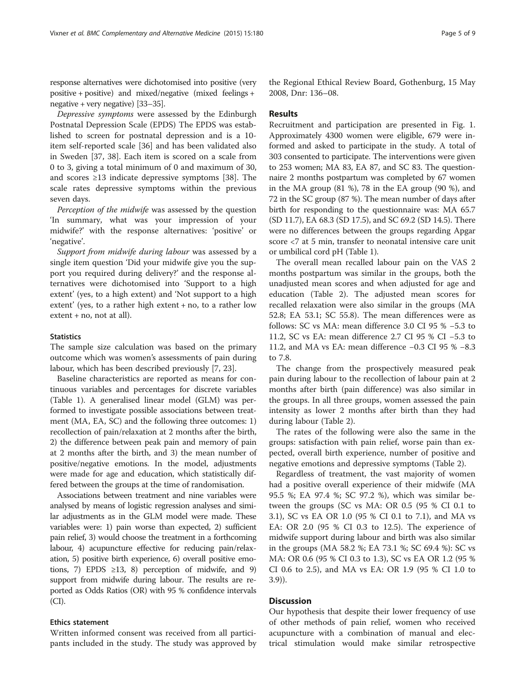response alternatives were dichotomised into positive (very positive + positive) and mixed/negative (mixed feelings + negative + very negative) [[33](#page-8-0)–[35](#page-8-0)].

Depressive symptoms were assessed by the Edinburgh Postnatal Depression Scale (EPDS) The EPDS was established to screen for postnatal depression and is a 10 item self-reported scale [\[36\]](#page-8-0) and has been validated also in Sweden [\[37](#page-8-0), [38\]](#page-8-0). Each item is scored on a scale from 0 to 3, giving a total minimum of 0 and maximum of 30, and scores ≥13 indicate depressive symptoms [\[38](#page-8-0)]. The scale rates depressive symptoms within the previous seven days.

Perception of the midwife was assessed by the question 'In summary, what was your impression of your midwife?' with the response alternatives: 'positive' or 'negative'.

Support from midwife during labour was assessed by a single item question 'Did your midwife give you the support you required during delivery?' and the response alternatives were dichotomised into 'Support to a high extent' (yes, to a high extent) and 'Not support to a high extent' (yes, to a rather high extent + no, to a rather low extent + no, not at all).

# **Statistics**

The sample size calculation was based on the primary outcome which was women's assessments of pain during labour, which has been described previously [[7,](#page-7-0) [23\]](#page-8-0).

Baseline characteristics are reported as means for continuous variables and percentages for discrete variables (Table [1](#page-2-0)). A generalised linear model (GLM) was performed to investigate possible associations between treatment (MA, EA, SC) and the following three outcomes: 1) recollection of pain/relaxation at 2 months after the birth, 2) the difference between peak pain and memory of pain at 2 months after the birth, and 3) the mean number of positive/negative emotions. In the model, adjustments were made for age and education, which statistically differed between the groups at the time of randomisation.

Associations between treatment and nine variables were analysed by means of logistic regression analyses and similar adjustments as in the GLM model were made. These variables were: 1) pain worse than expected, 2) sufficient pain relief, 3) would choose the treatment in a forthcoming labour, 4) acupuncture effective for reducing pain/relaxation, 5) positive birth experience, 6) overall positive emotions, 7) EPDS  $\geq$ 13, 8) perception of midwife, and 9) support from midwife during labour. The results are reported as Odds Ratios (OR) with 95 % confidence intervals (CI).

# Ethics statement

Written informed consent was received from all participants included in the study. The study was approved by

the Regional Ethical Review Board, Gothenburg, 15 May 2008, Dnr: 136–08.

## Results

Recruitment and participation are presented in Fig. [1](#page-5-0). Approximately 4300 women were eligible, 679 were informed and asked to participate in the study. A total of 303 consented to participate. The interventions were given to 253 women; MA 83, EA 87, and SC 83. The questionnaire 2 months postpartum was completed by 67 women in the MA group (81 %), 78 in the EA group (90 %), and 72 in the SC group (87 %). The mean number of days after birth for responding to the questionnaire was: MA 65.7 (SD 11.7), EA 68.3 (SD 17.5), and SC 69.2 (SD 14.5). There were no differences between the groups regarding Apgar score <7 at 5 min, transfer to neonatal intensive care unit or umbilical cord pH (Table [1\)](#page-2-0).

The overall mean recalled labour pain on the VAS 2 months postpartum was similar in the groups, both the unadjusted mean scores and when adjusted for age and education (Table [2\)](#page-6-0). The adjusted mean scores for recalled relaxation were also similar in the groups (MA 52.8; EA 53.1; SC 55.8). The mean differences were as follows: SC vs MA: mean difference 3.0 CI 95 % −5.3 to 11.2, SC vs EA: mean difference 2.7 CI 95 % CI −5.3 to 11.2, and MA vs EA: mean difference −0.3 CI 95 % −8.3 to 7.8.

The change from the prospectively measured peak pain during labour to the recollection of labour pain at 2 months after birth (pain difference) was also similar in the groups. In all three groups, women assessed the pain intensity as lower 2 months after birth than they had during labour (Table [2\)](#page-6-0).

The rates of the following were also the same in the groups: satisfaction with pain relief, worse pain than expected, overall birth experience, number of positive and negative emotions and depressive symptoms (Table [2\)](#page-6-0).

Regardless of treatment, the vast majority of women had a positive overall experience of their midwife (MA 95.5 %; EA 97.4 %; SC 97.2 %), which was similar between the groups (SC vs MA: OR 0.5 (95 % CI 0.1 to 3.1), SC vs EA OR 1.0 (95 % CI 0.1 to 7.1), and MA vs EA: OR 2.0 (95 % CI 0.3 to 12.5). The experience of midwife support during labour and birth was also similar in the groups (MA 58.2 %; EA 73.1 %; SC 69.4 %): SC vs MA: OR 0.6 (95 % CI 0.3 to 1.3), SC vs EA OR 1.2 (95 % CI 0.6 to 2.5), and MA vs EA: OR 1.9 (95 % CI 1.0 to 3.9)).

# **Discussion**

Our hypothesis that despite their lower frequency of use of other methods of pain relief, women who received acupuncture with a combination of manual and electrical stimulation would make similar retrospective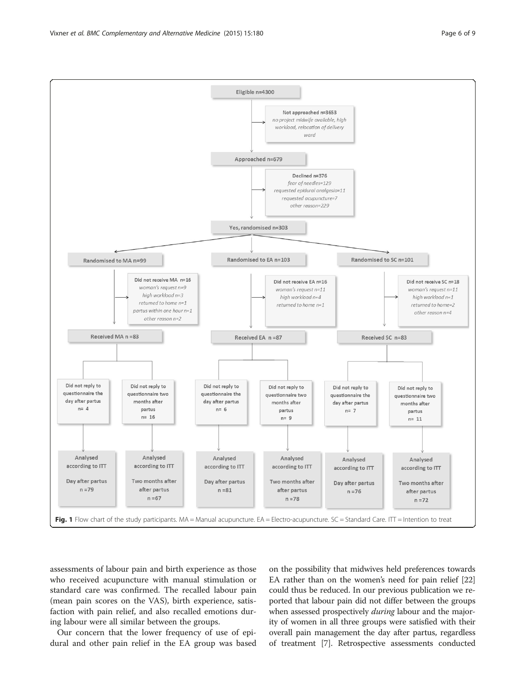assessments of labour pain and birth experience as those who received acupuncture with manual stimulation or standard care was confirmed. The recalled labour pain (mean pain scores on the VAS), birth experience, satisfaction with pain relief, and also recalled emotions during labour were all similar between the groups.

Our concern that the lower frequency of use of epidural and other pain relief in the EA group was based

on the possibility that midwives held preferences towards EA rather than on the women's need for pain relief [[22](#page-8-0)] could thus be reduced. In our previous publication we reported that labour pain did not differ between the groups when assessed prospectively during labour and the majority of women in all three groups were satisfied with their overall pain management the day after partus, regardless of treatment [[7\]](#page-7-0). Retrospective assessments conducted

<span id="page-5-0"></span>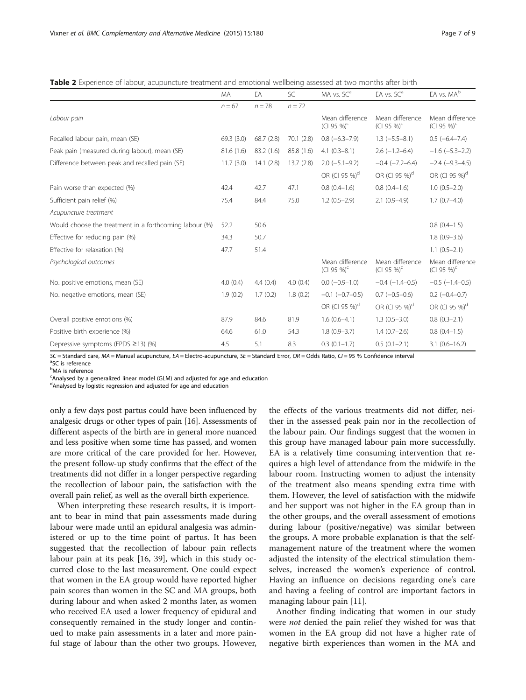|                                                        | MA         | EA         | <b>SC</b>  | MA vs. SC <sup>a</sup>             | $EA$ vs. $SCa$                            | EA vs. MA <sup>b</sup>                    |
|--------------------------------------------------------|------------|------------|------------|------------------------------------|-------------------------------------------|-------------------------------------------|
|                                                        | $n = 67$   | $n = 78$   | $n = 72$   |                                    |                                           |                                           |
| Labour pain                                            |            |            |            | Mean difference<br>$(CI 95 %)^{c}$ | Mean difference<br>(CI 95 %) <sup>c</sup> | Mean difference<br>$(CI 95 %)^{c}$        |
| Recalled labour pain, mean (SE)                        | 69.3 (3.0) | 68.7(2.8)  | 70.1 (2.8) | $0.8$ (-6.3-7.9)                   | $1.3$ $(-5.5-8.1)$                        | $0.5$ $(-6.4 - 7.4)$                      |
| Peak pain (measured during labour), mean (SE)          | 81.6(1.6)  | 83.2 (1.6) | 85.8 (1.6) | $4.1(0.3-8.1)$                     | $2.6$ (-1.2-6.4)                          | $-1.6$ ( $-5.3-2.2$ )                     |
| Difference between peak and recalled pain (SE)         | 11.7(3.0)  | 14.1(2.8)  | 13.7(2.8)  | $2.0$ (-5.1-9.2)                   | $-0.4$ $(-7.2-6.4)$                       | $-2.4$ $(-9.3-4.5)$                       |
|                                                        |            |            |            | OR (CI 95 %) <sup>d</sup>          | OR (CI 95 %) <sup>d</sup>                 | OR (CI 95 %) <sup>d</sup>                 |
| Pain worse than expected (%)                           | 42.4       | 42.7       | 47.1       | $0.8(0.4-1.6)$                     | $0.8(0.4-1.6)$                            | $1.0(0.5-2.0)$                            |
| Sufficient pain relief (%)                             | 75.4       | 84.4       | 75.0       | $1.2(0.5-2.9)$                     | $2.1(0.9-4.9)$                            | $1.7(0.7-4.0)$                            |
| Acupuncture treatment                                  |            |            |            |                                    |                                           |                                           |
| Would choose the treatment in a forthcoming labour (%) | 52.2       | 50.6       |            |                                    |                                           | $0.8$ $(0.4-1.5)$                         |
| Effective for reducing pain (%)                        | 34.3       | 50.7       |            |                                    |                                           | $1.8(0.9 - 3.6)$                          |
| Effective for relaxation (%)                           | 47.7       | 51.4       |            |                                    |                                           | $1.1(0.5-2.1)$                            |
| Psychological outcomes                                 |            |            |            | Mean difference<br>$(CI 95 %)^{c}$ | Mean difference<br>(CI 95 %) <sup>c</sup> | Mean difference<br>(CI 95 %) <sup>c</sup> |
| No. positive emotions, mean (SE)                       | 4.0(0.4)   | 4.4(0.4)   | 4.0(0.4)   | $0.0$ ( $-0.9-1.0$ )               | $-0.4$ ( $-1.4-0.5$ )                     | $-0.5$ ( $-1.4-0.5$ )                     |
| No. negative emotions, mean (SE)                       | 1.9(0.2)   | 1.7(0.2)   | 1.8(0.2)   | $-0.1$ $(-0.7-0.5)$                | $0.7$ ( $-0.5-0.6$ )                      | $0.2$ (-0.4-0.7)                          |
|                                                        |            |            |            | OR (CI 95 %) <sup>d</sup>          | OR (CI 95 %) <sup>d</sup>                 | OR (CI 95 %) <sup>d</sup>                 |
| Overall positive emotions (%)                          | 87.9       | 84.6       | 81.9       | $1.6(0.6-4.1)$                     | $1.3(0.5-3.0)$                            | $0.8(0.3-2.1)$                            |
| Positive birth experience (%)                          | 64.6       | 61.0       | 54.3       | $1.8(0.9 - 3.7)$                   | $1.4(0.7-2.6)$                            | $0.8$ $(0.4-1.5)$                         |
| Depressive symptoms (EPDS ≥13) (%)                     | 4.5        | 5.1        | 8.3        | $0.3(0.1-1.7)$                     | $0.5(0.1-2.1)$                            | $3.1(0.6 - 16.2)$                         |

<span id="page-6-0"></span>

|  | Table 2 Experience of labour, acupuncture treatment and emotional wellbeing assessed at two months after birth |
|--|----------------------------------------------------------------------------------------------------------------|
|--|----------------------------------------------------------------------------------------------------------------|

 $SC =$  Standard care, MA = Manual acupuncture,  $EA =$  Electro-acupuncture,  $SE =$  Standard Error,  $OR =$  Odds Ratio,  $Cl = 95$ % Confidence interval <sup>a</sup>SC is reference

<sup>b</sup>MA is reference

<sup>c</sup>Analysed by a generalized linear model (GLM) and adjusted for age and education

d Analysed by logistic regression and adjusted for age and education

only a few days post partus could have been influenced by analgesic drugs or other types of pain [[16](#page-8-0)]. Assessments of different aspects of the birth are in general more nuanced and less positive when some time has passed, and women are more critical of the care provided for her. However, the present follow-up study confirms that the effect of the treatments did not differ in a longer perspective regarding the recollection of labour pain, the satisfaction with the overall pain relief, as well as the overall birth experience.

When interpreting these research results, it is important to bear in mind that pain assessments made during labour were made until an epidural analgesia was administered or up to the time point of partus. It has been suggested that the recollection of labour pain reflects labour pain at its peak [[16](#page-8-0), [39](#page-8-0)], which in this study occurred close to the last measurement. One could expect that women in the EA group would have reported higher pain scores than women in the SC and MA groups, both during labour and when asked 2 months later, as women who received EA used a lower frequency of epidural and consequently remained in the study longer and continued to make pain assessments in a later and more painful stage of labour than the other two groups. However,

the effects of the various treatments did not differ, neither in the assessed peak pain nor in the recollection of the labour pain. Our findings suggest that the women in this group have managed labour pain more successfully. EA is a relatively time consuming intervention that requires a high level of attendance from the midwife in the labour room. Instructing women to adjust the intensity of the treatment also means spending extra time with them. However, the level of satisfaction with the midwife and her support was not higher in the EA group than in the other groups, and the overall assessment of emotions during labour (positive/negative) was similar between the groups. A more probable explanation is that the selfmanagement nature of the treatment where the women adjusted the intensity of the electrical stimulation themselves, increased the women's experience of control. Having an influence on decisions regarding one's care and having a feeling of control are important factors in managing labour pain [\[11](#page-7-0)].

Another finding indicating that women in our study were *not* denied the pain relief they wished for was that women in the EA group did not have a higher rate of negative birth experiences than women in the MA and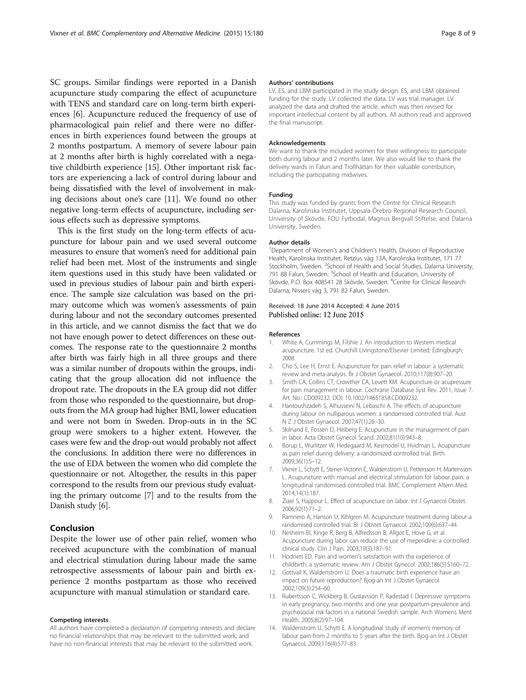<span id="page-7-0"></span>SC groups. Similar findings were reported in a Danish acupuncture study comparing the effect of acupuncture with TENS and standard care on long-term birth experiences [6]. Acupuncture reduced the frequency of use of pharmacological pain relief and there were no differences in birth experiences found between the groups at 2 months postpartum. A memory of severe labour pain at 2 months after birth is highly correlated with a negative childbirth experience [[15](#page-8-0)]. Other important risk factors are experiencing a lack of control during labour and being dissatisfied with the level of involvement in making decisions about one's care [11]. We found no other negative long-term effects of acupuncture, including serious effects such as depressive symptoms.

This is the first study on the long-term effects of acupuncture for labour pain and we used several outcome measures to ensure that women's need for additional pain relief had been met. Most of the instruments and single item questions used in this study have been validated or used in previous studies of labour pain and birth experience. The sample size calculation was based on the primary outcome which was women's assessments of pain during labour and not the secondary outcomes presented in this article, and we cannot dismiss the fact that we do not have enough power to detect differences on these outcomes. The response rate to the questionnaire 2 months after birth was fairly high in all three groups and there was a similar number of dropouts within the groups, indicating that the group allocation did not influence the dropout rate. The dropouts in the EA group did not differ from those who responded to the questionnaire, but dropouts from the MA group had higher BMI, lower education and were not born in Sweden. Drop-outs in in the SC group were smokers to a higher extent. However, the cases were few and the drop-out would probably not affect the conclusions. In addition there were no differences in the use of EDA between the women who did complete the questionnaire or not. Altogether, the results in this paper correspond to the results from our previous study evaluating the primary outcome [7] and to the results from the Danish study [6].

### Conclusion

Despite the lower use of other pain relief, women who received acupuncture with the combination of manual and electrical stimulation during labour made the same retrospective assessments of labour pain and birth experience 2 months postpartum as those who received acupuncture with manual stimulation or standard care.

#### Competing interests

All authors have completed a declaration of competing interests and declare no financial relationships that may be relevant to the submitted work; and have no non-financial interests that may be relevant to the submitted work.

#### Authors' contributions

LV, ES, and LBM participated in the study design. ES, and LBM obtained funding for the study. LV collected the data. LV was trial manager. LV analyzed the data and drafted the article, which was then revised for important intellectual content by all authors. All authors read and approved the final manuscript.

#### Acknowledgements

We want to thank the included women for their willingness to participate both during labour and 2 months later. We also would like to thank the delivery wards in Falun and Trollhättan for their valuable contribution, including the participating midwives.

#### Funding

This study was funded by grants from the Centre for Clinical Research Dalarna, Karolinska Institutet, Uppsala-Örebro Regional Research Council, University of Skövde, FOU Fyrbodal, Magnus Bergvall Stiftelse, and Dalarna University, Sweden.

#### Author details

<sup>1</sup>Department of Women's and Children's Health, Division of Reproductive Health, Karolinska Institutet, Retzius väg 13A, Karolinska Institutet, 171 77 Stockholm, Sweden. <sup>2</sup>School of Health and Social Studies, Dalarna University 791 88 Falun, Sweden. <sup>3</sup>School of Health and Education, University of Skövde, P.O. Box 408541 28 Skövde, Sweden. <sup>4</sup>Centre for Clinical Research Dalarna, Nissers väg 3, 791 82 Falun, Sweden.

#### Received: 18 June 2014 Accepted: 4 June 2015 Published online: 12 June 2015

#### References

- 1. White A, Cummings M, Filshie J. An introduction to Western medical acupuncture. 1st ed. Churchill Livingstone/Elsevier Limited: Edingburgh; 2008.
- 2. Cho S, Lee H, Ernst E. Acupuncture for pain relief in labour: a systematic review and meta-analysis. Br J Obstet Gynaecol. 2010;117(8):907–20.
- 3. Smith CA, Collins CT, Crowther CA, Levett KM. Acupuncture or acupressure for pain management in labour. Cochrane Database Syst Rev. 2011, Issue 7. Art. No.: CD009232. DOI: 10.1002/14651858.CD009232.
- 4. Hantoushzadeh S, Alhusseini N, Lebaschi A. The effects of acupuncture during labour on nulliparous women: a randomised controlled trial. Aust N Z J Obstet Gynaecol. 2007;47(1):26–30.
- 5. Skilnand E, Fossen D, Heiberg E. Acupuncture in the management of pain in labor. Acta Obstet Gynecol Scand. 2002;81(10):943–8.
- 6. Borup L, Wurlitzer W, Hedegaard M, Kesmodel U, Hvidman L. Acupuncture as pain relief during delivery: a randomized controlled trial. Birth. 2009;36(1):5–12.
- 7. Vixner L, Schytt E, Stener-Victorin E, Waldenstrom U, Pettersson H, Martensson L. Acupuncture with manual and electrical stimulation for labour pain: a longitudinal randomised controlled trial. BMC Complement Altern Med. 2014;14(1):187.
- 8. Ziaei S, Hajipour L. Effect of acupuncture on labor. Int J Gynaecol Obstet. 2006;92(1):71–2.
- 9. Ramnero A, Hanson U, Kihlgren M. Acupuncture treatment during labour-a randomised controlled trial. Br J Obstet Gynaecol. 2002;109(6):637–44.
- 10. Nesheim BI, Kinge R, Berg B, Alfredsson B, Allgot E, Hove G, et al. Acupuncture during labor can reduce the use of meperidine: a controlled clinical study. Clin J Pain. 2003;19(3):187–91.
- 11. Hodnett ED. Pain and women's satisfaction with the experience of childbirth: a systematic review. Am J Obstet Gynecol. 2002;186(5):S160–72.
- 12. Gottvall K, Waldenstrom U. Does a traumatic birth experience have an impact on future reproduction? Bjog-an Int J Obstet Gynaecol. 2002;109(3):254–60.
- 13. Rubertsson C, Wickberg B, Gustavsson P, Radestad I. Depressive symptoms in early pregnancy, two months and one year postpartum-prevalence and psychosocial risk factors in a national Swedish sample. Arch Womens Ment Health. 2005;8(2):97–104.
- 14. Waldenstrom U, Schytt E. A longitudinal study of women's memory of labour pain-from 2 months to 5 years after the birth. Bjog-an Int J Obstet Gynaecol. 2009;116(4):577–83.